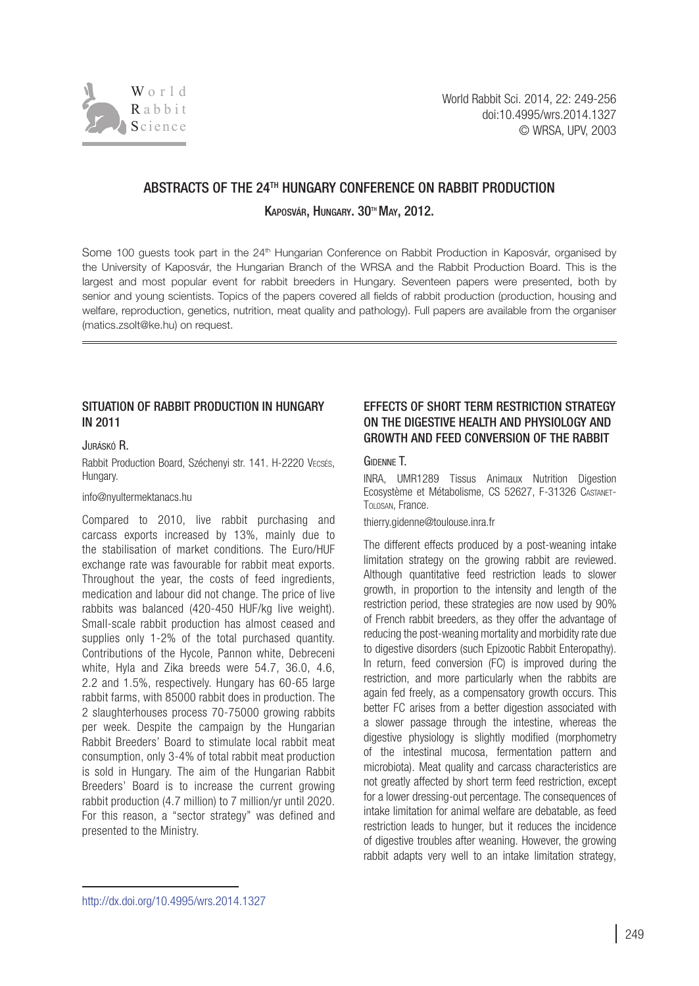

# ABSTRACTS OF THE 24<sup>TH</sup> HUNGARY CONFERENCE ON RABBIT PRODUCTION

KAPOSVÁR, HUNGARY, 30™ MAY, 2012.

Some 100 guests took part in the 24<sup>th</sup> Hungarian Conference on Rabbit Production in Kaposvár, organised by the University of Kaposvár, the Hungarian Branch of the WRSA and the Rabbit Production Board. This is the largest and most popular event for rabbit breeders in Hungary. Seventeen papers were presented, both by senior and young scientists. Topics of the papers covered all fields of rabbit production (production, housing and welfare, reproduction, genetics, nutrition, meat quality and pathology). Full papers are available from the organiser (matics.zsolt@ke.hu) on request.

# SITUATION OF RABBIT PRODUCTION IN HUNGARY in 2011

### Juráskó R.

Rabbit Production Board, Széchenyi str. 141. H-2220 Vecsés, Hungary.

#### [info@nyultermektanacs.hu](mailto:info@nyultermektanacs.hu)

Compared to 2010, live rabbit purchasing and carcass exports increased by 13%, mainly due to the stabilisation of market conditions. The Euro/HUF exchange rate was favourable for rabbit meat exports. Throughout the year, the costs of feed ingredients, medication and labour did not change. The price of live rabbits was balanced (420-450 HUF/kg live weight). Small-scale rabbit production has almost ceased and supplies only 1-2% of the total purchased quantity. Contributions of the Hycole, Pannon white, Debreceni white, Hyla and Zika breeds were 54.7, 36.0, 4.6, 2.2 and 1.5%, respectively. Hungary has 60-65 large rabbit farms, with 85000 rabbit does in production. The 2 slaughterhouses process 70-75000 growing rabbits per week. Despite the campaign by the Hungarian Rabbit Breeders' Board to stimulate local rabbit meat consumption, only 3-4% of total rabbit meat production is sold in Hungary. The aim of the Hungarian Rabbit Breeders' Board is to increase the current growing rabbit production (4.7 million) to 7 million/yr until 2020. For this reason, a "sector strategy" was defined and presented to the Ministry.

# Effects of short term restriction strategy ON THE DIGESTIVE HEALTH AND PHYSIOLOGY AND growth and feed conversion of the RABBIT

## Gidenne T.

INRA, UMR1289 Tissus Animaux Nutrition Digestion Ecosystème et Métabolisme, CS 52627, F-31326 Castanet-Tolosan, France.

[thierry.gidenne@toulouse.inra.fr](mailto:thierry.gidenne@toulouse.inra.fr)

The different effects produced by a post-weaning intake limitation strategy on the growing rabbit are reviewed. Although quantitative feed restriction leads to slower growth, in proportion to the intensity and length of the restriction period, these strategies are now used by 90% of French rabbit breeders, as they offer the advantage of reducing the post-weaning mortality and morbidity rate due to digestive disorders (such Epizootic Rabbit Enteropathy). In return, feed conversion (FC) is improved during the restriction, and more particularly when the rabbits are again fed freely, as a compensatory growth occurs. This better FC arises from a better digestion associated with a slower passage through the intestine, whereas the digestive physiology is slightly modified (morphometry of the intestinal mucosa, fermentation pattern and microbiota). Meat quality and carcass characteristics are not greatly affected by short term feed restriction, except for a lower dressing-out percentage. The consequences of intake limitation for animal welfare are debatable, as feed restriction leads to hunger, but it reduces the incidence of digestive troubles after weaning. However, the growing rabbit adapts very well to an intake limitation strategy,

[http://dx.doi.org/10.4995/wrs.2014.1](http://dx.doi.org/10.4995/wrs.2014.1327)327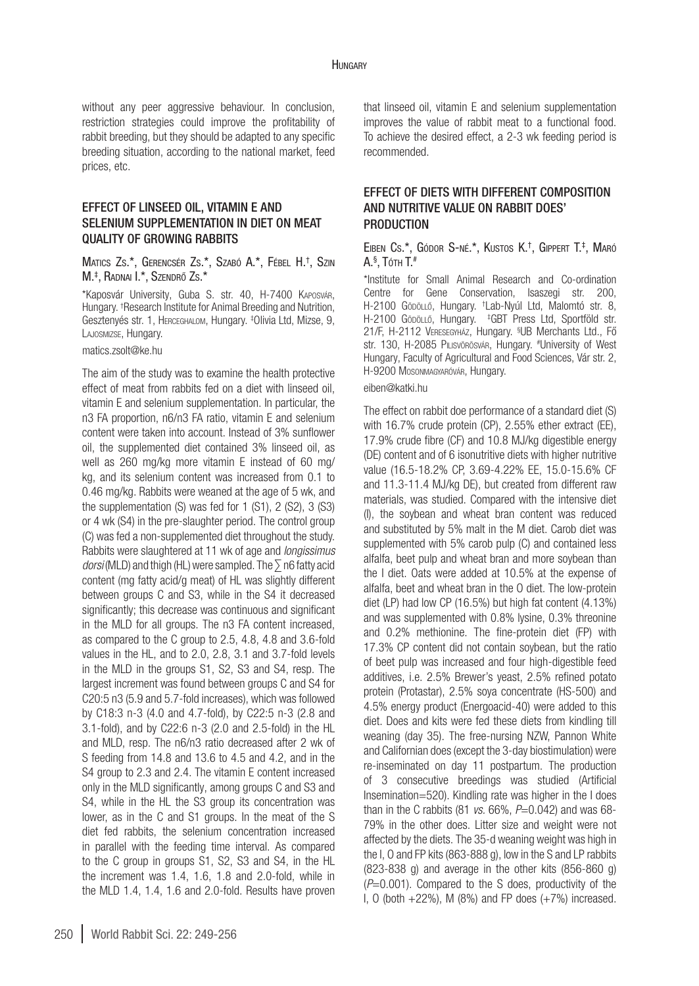#### **HUNGARY**

without any peer aggressive behaviour. In conclusion, restriction strategies could improve the profitability of rabbit breeding, but they should be adapted to any specific breeding situation, according to the national market, feed prices, etc.

## Effect of linseed oil, vitamin E and selenium supplementation in diet on meat quality of growing rabbits

## Matics Zs.\*, Gerencsér Zs.\*, Szabó A.\*, Fébel H.† , Szin M.‡ , Radnai I.\*, Szendrő Zs.\*

\*Kaposvár University, Guba S. str. 40, H-7400 Kaposvár, Hungary. † Research Institute for Animal Breeding and Nutrition, Gesztenyés str. 1, Herceghalom, Hungary. ‡ Olivia Ltd, Mizse, 9, Lajosmizse, Hungary.

#### [matics.zsolt@ke.hu](mailto:matics.zsolt@ke.hu)

The aim of the study was to examine the health protective effect of meat from rabbits fed on a diet with linseed oil, vitamin E and selenium supplementation. In particular, the n3 FA proportion, n6/n3 FA ratio, vitamin E and selenium content were taken into account. Instead of 3% sunflower oil, the supplemented diet contained 3% linseed oil, as well as 260 mg/kg more vitamin E instead of 60 mg/ kg, and its selenium content was increased from 0.1 to 0.46 mg/kg. Rabbits were weaned at the age of 5 wk, and the supplementation (S) was fed for 1 (S1), 2 (S2), 3 (S3) or 4 wk (S4) in the pre-slaughter period. The control group (C) was fed a non-supplemented diet throughout the study. Rabbits were slaughtered at 11 wk of age and *longissimus dorsi* (MLD) and thigh (HL) were sampled. The ∑ n6 fatty acid content (mg fatty acid/g meat) of HL was slightly different between groups C and S3, while in the S4 it decreased significantly; this decrease was continuous and significant in the MLD for all groups. The n3 FA content increased, as compared to the C group to 2.5, 4.8, 4.8 and 3.6-fold values in the HL, and to 2.0, 2.8, 3.1 and 3.7-fold levels in the MLD in the groups S1, S2, S3 and S4, resp. The largest increment was found between groups C and S4 for C20:5 n3 (5.9 and 5.7-fold increases), which was followed by C18:3 n-3 (4.0 and 4.7-fold), by C22:5 n-3 (2.8 and 3.1-fold), and by C22:6 n-3 (2.0 and 2.5-fold) in the HL and MLD, resp. The n6/n3 ratio decreased after 2 wk of S feeding from 14.8 and 13.6 to 4.5 and 4.2, and in the S4 group to 2.3 and 2.4. The vitamin E content increased only in the MLD significantly, among groups C and S3 and S4, while in the HL the S3 group its concentration was lower, as in the C and S1 groups. In the meat of the S diet fed rabbits, the selenium concentration increased in parallel with the feeding time interval. As compared to the C group in groups S1, S2, S3 and S4, in the HL the increment was 1.4, 1.6, 1.8 and 2.0-fold, while in the MLD 1.4, 1.4, 1.6 and 2.0-fold. Results have proven

that linseed oil, vitamin E and selenium supplementation improves the value of rabbit meat to a functional food. To achieve the desired effect, a 2-3 wk feeding period is recommended.

# EFFECT OF DIETS WITH DIFFERENT COMPOSITION AND NUTRITIVE VALUE ON RABBIT DOES' PRODUCTION

## Eiben Cs.\*, Gódor S-né.\*, Kustos K. † , Gippert T.‡ , Maró А.<sup>§</sup>, То́тн Т.#

\*Institute for Small Animal Research and Co-ordination Centre for Gene Conservation, Isaszegi str. 200, H-2100 Gödöllő, Hungary. † Lab-Nyúl Ltd, Malomtó str. 8, H-2100 Gödöllő, Hungary. ‡ GBT Press Ltd, Sportföld str. 21/F, H-2112 Veresegyház, Hungary. § UB Merchants Ltd., Fő str. 130, H-2085 Pilisvörösvár, Hungary. # University of West Hungary, Faculty of Agricultural and Food Sciences, Vár str. 2, H-9200 Mosonmagyaróvár, Hungary.

#### [eiben@katki.hu](mailto:eiben@katki.hu)

The effect on rabbit doe performance of a standard diet (S) with 16.7% crude protein (CP), 2.55% ether extract (EE), 17.9% crude fibre (CF) and 10.8 MJ/kg digestible energy (DE) content and of 6 isonutritive diets with higher nutritive value (16.5-18.2% CP, 3.69-4.22% EE, 15.0-15.6% CF and 11.3-11.4 MJ/kg DE), but created from different raw materials, was studied. Compared with the intensive diet (I), the soybean and wheat bran content was reduced and substituted by 5% malt in the M diet. Carob diet was supplemented with 5% carob pulp (C) and contained less alfalfa, beet pulp and wheat bran and more soybean than the I diet. Oats were added at 10.5% at the expense of alfalfa, beet and wheat bran in the O diet. The low-protein diet (LP) had low CP (16.5%) but high fat content (4.13%) and was supplemented with 0.8% lysine, 0.3% threonine and 0.2% methionine. The fine-protein diet (FP) with 17.3% CP content did not contain soybean, but the ratio of beet pulp was increased and four high-digestible feed additives, i.e. 2.5% Brewer's yeast, 2.5% refined potato protein (Protastar), 2.5% soya concentrate (HS-500) and 4.5% energy product (Energoacid-40) were added to this diet. Does and kits were fed these diets from kindling till weaning (day 35). The free-nursing NZW, Pannon White and Californian does (except the 3-day biostimulation) were re-inseminated on day 11 postpartum. The production of 3 consecutive breedings was studied (Artificial Insemination=520). Kindling rate was higher in the I does than in the C rabbits (81 *vs.* 66%, *P*=0.042) and was 68- 79% in the other does. Litter size and weight were not affected by the diets. The 35-d weaning weight was high in the I, O and FP kits (863-888 g), low in the S and LP rabbits  $(823-838)$  q) and average in the other kits  $(856-860)$  q) (*P*=0.001). Compared to the S does, productivity of the I, O (both  $+22\%$ ), M (8%) and FP does  $(+7\%)$  increased.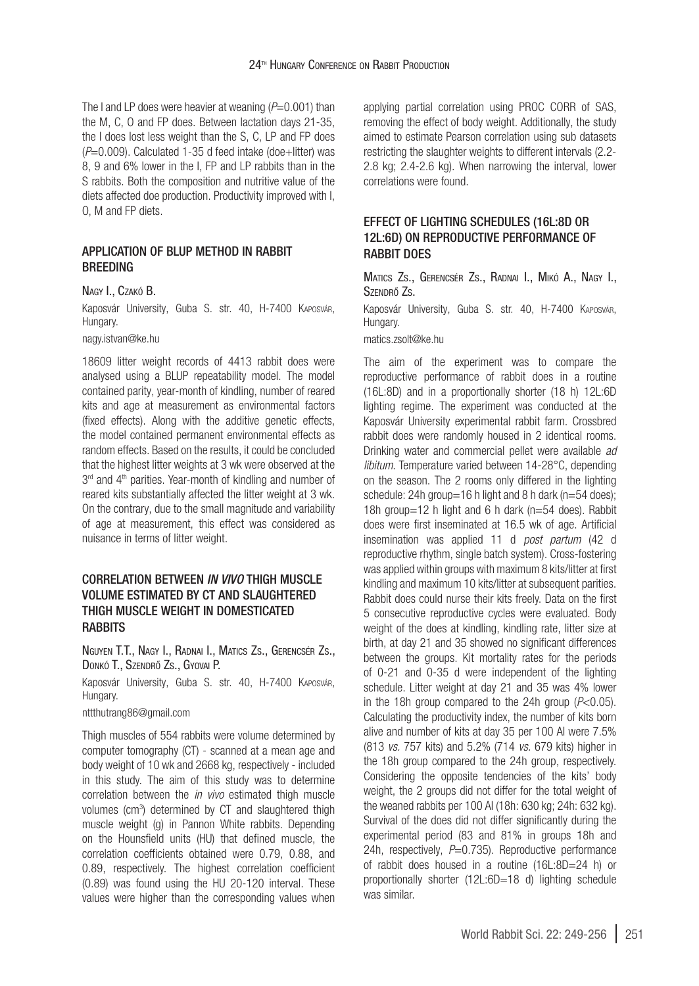The I and LP does were heavier at weaning ( $P=0.001$ ) than the M, C, O and FP does. Between lactation days 21-35, the I does lost less weight than the S, C, LP and FP does (*P*=0.009). Calculated 1-35 d feed intake (doe+litter) was 8, 9 and 6% lower in the I, FP and LP rabbits than in the S rabbits. Both the composition and nutritive value of the diets affected doe production. Productivity improved with I, O, M and FP diets.

### Application of BLUP method in rabbit **BREEDING**

#### Nagy I., Czakó B.

Kaposvár University, Guba S. str. 40, H-7400 Kaposvár, Hungary.

[nagy.istvan@ke.hu](mailto:nagy.istvan@ke.hu)

18609 litter weight records of 4413 rabbit does were analysed using a BLUP repeatability model. The model contained parity, year-month of kindling, number of reared kits and age at measurement as environmental factors (fixed effects). Along with the additive genetic effects, the model contained permanent environmental effects as random effects. Based on the results, it could be concluded that the highest litter weights at 3 wk were observed at the 3<sup>rd</sup> and 4<sup>th</sup> parities. Year-month of kindling and number of reared kits substantially affected the litter weight at 3 wk. On the contrary, due to the small magnitude and variability of age at measurement, this effect was considered as nuisance in terms of litter weight.

## Correlation between *in vivo* thigh muscle volume estimated by CT and slaughtered thigh muscle weight in domesticated **RABBITS**

Nguyen T.T., Nagy I., Radnai I., Matics Zs., Gerencsér Zs., Donkó T., Szendrő Zs., Gyovai P.

Kaposvár University, Guba S. str. 40, H-7400 Kaposvár, Hungary.

[nttthutrang86@gmail.com](mailto:nttthutrang86@gmail.com)

Thigh muscles of 554 rabbits were volume determined by computer tomography (CT) - scanned at a mean age and body weight of 10 wk and 2668 kg, respectively - included in this study. The aim of this study was to determine correlation between the *in vivo* estimated thigh muscle volumes (cm3 ) determined by CT and slaughtered thigh muscle weight (g) in Pannon White rabbits. Depending on the Hounsfield units (HU) that defined muscle, the correlation coefficients obtained were 0.79, 0.88, and 0.89, respectively. The highest correlation coefficient (0.89) was found using the HU 20-120 interval. These values were higher than the corresponding values when

applying partial correlation using PROC CORR of SAS, removing the effect of body weight. Additionally, the study aimed to estimate Pearson correlation using sub datasets restricting the slaughter weights to different intervals (2.2- 2.8 kg; 2.4-2.6 kg). When narrowing the interval, lower correlations were found.

# Effect of lighting schedules (16L:8D or 12L:6D) on reproductive performance of RABBIT DOES

Matics Zs., Gerencsér Zs., Radnai I., Mikó A., Nagy I., Szendrő Zs.

Kaposvár University, Guba S. str. 40, H-7400 Kaposvár, Hungary.

[matics.zsolt@ke.hu](mailto:matics.zsolt@ke.hu)

The aim of the experiment was to compare the reproductive performance of rabbit does in a routine (16L:8D) and in a proportionally shorter (18 h) 12L:6D lighting regime. The experiment was conducted at the Kaposvár University experimental rabbit farm. Crossbred rabbit does were randomly housed in 2 identical rooms. Drinking water and commercial pellet were available *ad libitum*. Temperature varied between 14-28°C, depending on the season. The 2 rooms only differed in the lighting schedule: 24h group=16 h light and 8 h dark ( $n=54$  does); 18h group=12 h light and 6 h dark (n=54 does). Rabbit does were first inseminated at 16.5 wk of age. Artificial insemination was applied 11 d *post partum* (42 d reproductive rhythm, single batch system). Cross-fostering was applied within groups with maximum 8 kits/litter at first kindling and maximum 10 kits/litter at subsequent parities. Rabbit does could nurse their kits freely. Data on the first 5 consecutive reproductive cycles were evaluated. Body weight of the does at kindling, kindling rate, litter size at birth, at day 21 and 35 showed no significant differences between the groups. Kit mortality rates for the periods of 0-21 and 0-35 d were independent of the lighting schedule. Litter weight at day 21 and 35 was 4% lower in the 18h group compared to the 24h group (*P*<0.05). Calculating the productivity index, the number of kits born alive and number of kits at day 35 per 100 AI were 7.5% (813 *vs.* 757 kits) and 5.2% (714 *vs.* 679 kits) higher in the 18h group compared to the 24h group, respectively. Considering the opposite tendencies of the kits' body weight, the 2 groups did not differ for the total weight of the weaned rabbits per 100 AI (18h: 630 kg; 24h: 632 kg). Survival of the does did not differ significantly during the experimental period (83 and 81% in groups 18h and 24h, respectively, P=0.735). Reproductive performance of rabbit does housed in a routine (16L:8D=24 h) or proportionally shorter (12L:6D=18 d) lighting schedule was similar.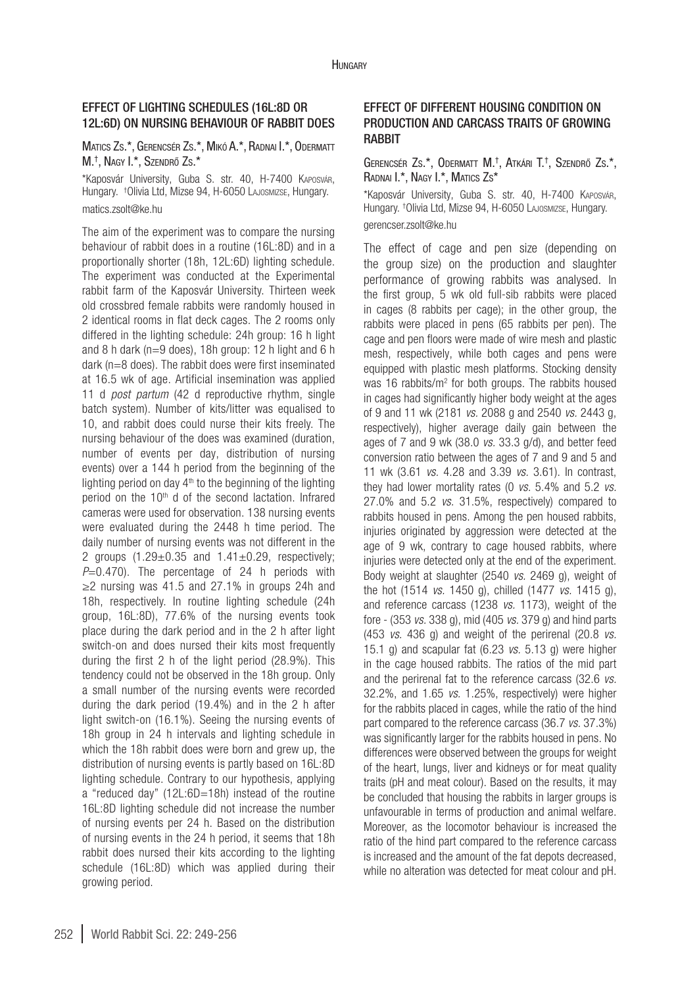# Effect of lighting schedules (16L:8D or 12L:6D) on nursing behaviour of rabbit does

## Matics Zs.\*, Gerencsér Zs.\*, Mikó A.\*, Radnai I.\*, Odermatt M.† , Nagy I.\*, Szendrő Zs.\*

\*Kaposvár University, Guba S. str. 40, H-7400 Kaposvár, Hungary. † Olivia Ltd, Mizse 94, H-6050 Lajosmizse, Hungary. [matics.zsolt@ke.hu](mailto:matics.zsolt@ke.hu)

The aim of the experiment was to compare the nursing behaviour of rabbit does in a routine (16L:8D) and in a proportionally shorter (18h, 12L:6D) lighting schedule. The experiment was conducted at the Experimental rabbit farm of the Kaposvár University. Thirteen week old crossbred female rabbits were randomly housed in 2 identical rooms in flat deck cages. The 2 rooms only differed in the lighting schedule: 24h group: 16 h light and 8 h dark (n=9 does), 18h group: 12 h light and 6 h dark (n=8 does). The rabbit does were first inseminated at 16.5 wk of age. Artificial insemination was applied 11 d *post partum* (42 d reproductive rhythm, single batch system). Number of kits/litter was equalised to 10, and rabbit does could nurse their kits freely. The nursing behaviour of the does was examined (duration, number of events per day, distribution of nursing events) over a 144 h period from the beginning of the lighting period on day  $4<sup>th</sup>$  to the beginning of the lighting period on the 10<sup>th</sup> d of the second lactation. Infrared cameras were used for observation. 138 nursing events were evaluated during the 2448 h time period. The daily number of nursing events was not different in the 2 groups  $(1.29 \pm 0.35$  and  $1.41 \pm 0.29$ , respectively; *P*=0.470). The percentage of 24 h periods with  $\geq$ 2 nursing was 41.5 and 27.1% in groups 24h and 18h, respectively. In routine lighting schedule (24h group, 16L:8D), 77.6% of the nursing events took place during the dark period and in the 2 h after light switch-on and does nursed their kits most frequently during the first 2 h of the light period (28.9%). This tendency could not be observed in the 18h group. Only a small number of the nursing events were recorded during the dark period (19.4%) and in the 2 h after light switch-on (16.1%). Seeing the nursing events of 18h group in 24 h intervals and lighting schedule in which the 18h rabbit does were born and grew up, the distribution of nursing events is partly based on 16L:8D lighting schedule. Contrary to our hypothesis, applying a "reduced day" (12L:6D=18h) instead of the routine 16L:8D lighting schedule did not increase the number of nursing events per 24 h. Based on the distribution of nursing events in the 24 h period, it seems that 18h rabbit does nursed their kits according to the lighting schedule (16L:8D) which was applied during their growing period.

# Effect of different housing condition on production and carcass traits of growing **RARRIT**

### Gerencsér Zs.\*, Odermatt M.† , Atkári T.† , Szendrő Zs.\*, Radnai I.\*, Nagy I.\*, Matics Zs\*

\*Kaposvár University, Guba S. str. 40, H-7400 Kaposvár, Hungary. † Olivia Ltd, Mizse 94, H-6050 Lajosmizse, Hungary. [gerencser.zsolt@ke.hu](mailto:gerencser.zsolt@ke.hu)

The effect of cage and pen size (depending on the group size) on the production and slaughter performance of growing rabbits was analysed. In the first group, 5 wk old full-sib rabbits were placed in cages (8 rabbits per cage); in the other group, the rabbits were placed in pens (65 rabbits per pen). The cage and pen floors were made of wire mesh and plastic mesh, respectively, while both cages and pens were equipped with plastic mesh platforms. Stocking density was 16 rabbits/m2 for both groups. The rabbits housed in cages had significantly higher body weight at the ages of 9 and 11 wk (2181 *vs.* 2088 g and 2540 *vs.* 2443 g, respectively), higher average daily gain between the ages of 7 and 9 wk (38.0 *vs.* 33.3 g/d), and better feed conversion ratio between the ages of 7 and 9 and 5 and 11 wk (3.61 *vs.* 4.28 and 3.39 *vs.* 3.61). In contrast, they had lower mortality rates (0 *vs.* 5.4% and 5.2 *vs.* 27.0% and 5.2 *vs.* 31.5%, respectively) compared to rabbits housed in pens. Among the pen housed rabbits, injuries originated by aggression were detected at the age of 9 wk, contrary to cage housed rabbits, where injuries were detected only at the end of the experiment. Body weight at slaughter (2540 *vs.* 2469 g), weight of the hot (1514 *vs.* 1450 g), chilled (1477 *vs.* 1415 g), and reference carcass (1238 *vs.* 1173), weight of the fore - (353 *vs.* 338 g), mid (405 *vs.* 379 g) and hind parts (453 *vs.* 436 g) and weight of the perirenal (20.8 *vs.* 15.1 g) and scapular fat (6.23 *vs.* 5.13 g) were higher in the cage housed rabbits. The ratios of the mid part and the perirenal fat to the reference carcass (32.6 *vs.* 32.2%, and 1.65 *vs.* 1.25%, respectively) were higher for the rabbits placed in cages, while the ratio of the hind part compared to the reference carcass (36.7 *vs.* 37.3%) was significantly larger for the rabbits housed in pens. No differences were observed between the groups for weight of the heart, lungs, liver and kidneys or for meat quality traits (pH and meat colour). Based on the results, it may be concluded that housing the rabbits in larger groups is unfavourable in terms of production and animal welfare. Moreover, as the locomotor behaviour is increased the ratio of the hind part compared to the reference carcass is increased and the amount of the fat depots decreased, while no alteration was detected for meat colour and pH.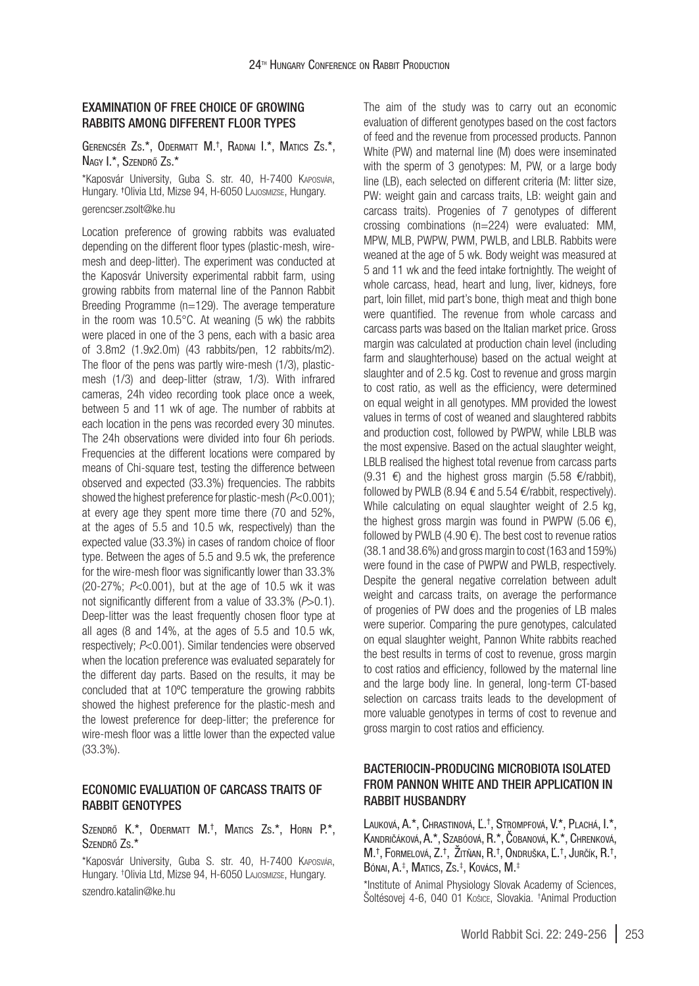## Examination of free choice of growing rabbits among different floor types

Gerencsér Zs.\*, Odermatt M.† , Radnai I.\*, Matics Zs.\*, Nagy I.\*, Szendrő Zs.\*

\*Kaposvár University, Guba S. str. 40, H-7400 Kaposvár, Hungary. † Olivia Ltd, Mizse 94, H-6050 Lajosmizse, Hungary. [gerencser.zsolt@ke.hu](mailto:gerencser.zsolt@ke.hu)

Location preference of growing rabbits was evaluated depending on the different floor types (plastic-mesh, wiremesh and deep-litter). The experiment was conducted at the Kaposvár University experimental rabbit farm, using growing rabbits from maternal line of the Pannon Rabbit Breeding Programme (n=129). The average temperature in the room was 10.5°C. At weaning (5 wk) the rabbits were placed in one of the 3 pens, each with a basic area of 3.8m2 (1.9x2.0m) (43 rabbits/pen, 12 rabbits/m2). The floor of the pens was partly wire-mesh (1/3), plasticmesh (1/3) and deep-litter (straw, 1/3). With infrared cameras, 24h video recording took place once a week, between 5 and 11 wk of age. The number of rabbits at each location in the pens was recorded every 30 minutes. The 24h observations were divided into four 6h periods. Frequencies at the different locations were compared by means of Chi-square test, testing the difference between observed and expected (33.3%) frequencies. The rabbits showed the highest preference for plastic-mesh (*P*<0.001); at every age they spent more time there (70 and 52%, at the ages of 5.5 and 10.5 wk, respectively) than the expected value (33.3%) in cases of random choice of floor type. Between the ages of 5.5 and 9.5 wk, the preference for the wire-mesh floor was significantly lower than 33.3% (20-27%; *P*<0.001), but at the age of 10.5 wk it was not significantly different from a value of 33.3% (*P*>0.1). Deep-litter was the least frequently chosen floor type at all ages (8 and 14%, at the ages of 5.5 and 10.5 wk, respectively; *P*<0.001). Similar tendencies were observed when the location preference was evaluated separately for the different day parts. Based on the results, it may be concluded that at 10ºC temperature the growing rabbits showed the highest preference for the plastic-mesh and the lowest preference for deep-litter; the preference for wire-mesh floor was a little lower than the expected value (33.3%).

## Economic evaluation of carcass traits of rabbit genotypes

Szendrő K.\*, Odermatt M.† , Matics Zs.\*, Horn P.\*, Szendrő Zs.\*

\*Kaposvár University, Guba S. str. 40, H-7400 Kaposvár, Hungary. † Olivia Ltd, Mizse 94, H-6050 Lajosmizse, Hungary. [szendro.katalin@ke.hu](mailto:szendro.katalin@ke.hu)

The aim of the study was to carry out an economic evaluation of different genotypes based on the cost factors of feed and the revenue from processed products. Pannon White (PW) and maternal line (M) does were inseminated with the sperm of 3 genotypes: M, PW, or a large body line (LB), each selected on different criteria (M: litter size, PW: weight gain and carcass traits, LB: weight gain and carcass traits). Progenies of 7 genotypes of different crossing combinations (n=224) were evaluated: MM, MPW, MLB, PWPW, PWM, PWLB, and LBLB. Rabbits were weaned at the age of 5 wk. Body weight was measured at 5 and 11 wk and the feed intake fortnightly. The weight of whole carcass, head, heart and lung, liver, kidneys, fore part, loin fillet, mid part's bone, thigh meat and thigh bone were quantified. The revenue from whole carcass and carcass parts was based on the Italian market price. Gross margin was calculated at production chain level (including farm and slaughterhouse) based on the actual weight at slaughter and of 2.5 kg. Cost to revenue and gross margin to cost ratio, as well as the efficiency, were determined on equal weight in all genotypes. MM provided the lowest values in terms of cost of weaned and slaughtered rabbits and production cost, followed by PWPW, while LBLB was the most expensive. Based on the actual slaughter weight, LBLB realised the highest total revenue from carcass parts (9.31  $\epsilon$ ) and the highest gross margin (5.58  $\epsilon$ /rabbit), followed by PWLB (8.94 € and 5.54 €/rabbit, respectively). While calculating on equal slaughter weight of 2.5 kg, the highest gross margin was found in PWPW (5.06  $\epsilon$ ), followed by PWLB  $(4.90 \in)$ . The best cost to revenue ratios (38.1 and 38.6%) and gross margin to cost (163 and 159%) were found in the case of PWPW and PWLB, respectively. Despite the general negative correlation between adult weight and carcass traits, on average the performance of progenies of PW does and the progenies of LB males were superior. Comparing the pure genotypes, calculated on equal slaughter weight, Pannon White rabbits reached the best results in terms of cost to revenue, gross margin to cost ratios and efficiency, followed by the maternal line and the large body line. In general, long-term CT-based selection on carcass traits leads to the development of more valuable genotypes in terms of cost to revenue and gross margin to cost ratios and efficiency.

# BACTERIOCIN-PRODUCING MICROBIOTA ISOLATED FROM PANNON WHITE AND THEIR APPLICATION IN RABBIT HUSBANDRY

Lauková, A.\*, Chrastinová, Ľ.† , Strompfová, V.\*, Plachá, I.\*, Kandričáková, A.\*, Szabóová, R.\*, Čobanová, K.\*, Chrenková, M.†, Formelová, Z.†, Žitňan, R.†, Ondruška, Ľ.†, Jurčík, R.†, Bónai, A. ‡ , Matics, Zs. ‡ , Kovács, M.‡

\*Institute of Animal Physiology Slovak Academy of Sciences, Soltésovej 4-6, 040 01 Košice, Slovakia. †Animal Production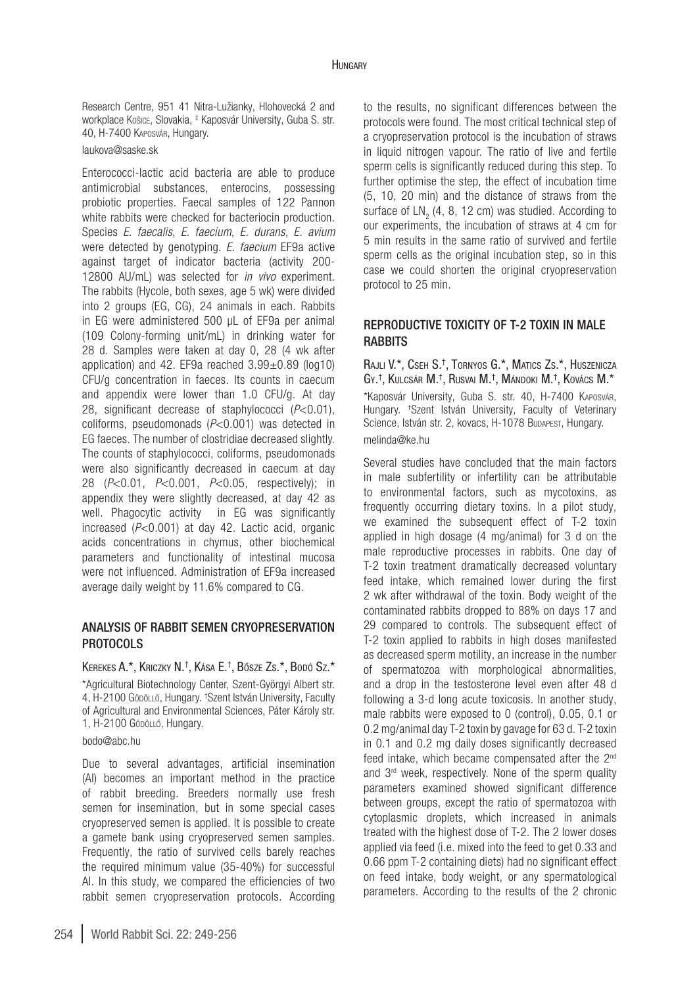Research Centre, 951 41 Nitra-Lužianky, Hlohovecká 2 and workplace Košice, Slovakia, ‡ Kaposvár University, Guba S. str. 40, H-7400 Kaposvár, Hungary.

[laukova@saske.sk](mailto:laukova@saske.sk)

Enterococci-lactic acid bacteria are able to produce antimicrobial substances, enterocins, possessing probiotic properties. Faecal samples of 122 Pannon white rabbits were checked for bacteriocin production. Species *E. faecalis*, *E. faecium*, *E. durans*, *E. avium* were detected by genotyping. *E. faecium* EF9a active against target of indicator bacteria (activity 200- 12800 AU/mL) was selected for *in vivo* experiment. The rabbits (Hycole, both sexes, age 5 wk) were divided into 2 groups (EG, CG), 24 animals in each. Rabbits in EG were administered 500 µL of EF9a per animal (109 Colony-forming unit/mL) in drinking water for 28 d. Samples were taken at day 0, 28 (4 wk after application) and 42. EF9a reached 3.99±0.89 (log10) CFU/g concentration in faeces. Its counts in caecum and appendix were lower than 1.0 CFU/g. At day 28, significant decrease of staphylococci (*P*<0.01), coliforms, pseudomonads (*P*<0.001) was detected in EG faeces. The number of clostridiae decreased slightly. The counts of staphylococci, coliforms, pseudomonads were also significantly decreased in caecum at day 28 (*P*<0.01, *P*<0.001, *P*<0.05, respectively); in appendix they were slightly decreased, at day 42 as well. Phagocytic activity in EG was significantly increased (*P*<0.001) at day 42. Lactic acid, organic acids concentrations in chymus, other biochemical parameters and functionality of intestinal mucosa were not influenced. Administration of EF9a increased average daily weight by 11.6% compared to CG.

## ANALYSIS OF RABBIT SEMEN CRYOPRESERVATION **PROTOCOLS**

Kerekes A.\*, Kriczky N.†, Kása E.†, Bősze Zs.\*, Bodó Sz.\* \*Agricultural Biotechnology Center, Szent-Györgyi Albert str. 4, H-2100 Gödöllő, Hungary. †Szent István University, Faculty of Agricultural and Environmental Sciences, Páter Károly str. 1, H-2100 Gödöllő, Hungary.

#### [bodo@abc.hu](mailto:bodo@abc.hu)

Due to several advantages, artificial insemination (AI) becomes an important method in the practice of rabbit breeding. Breeders normally use fresh semen for insemination, but in some special cases cryopreserved semen is applied. It is possible to create a gamete bank using cryopreserved semen samples. Frequently, the ratio of survived cells barely reaches the required minimum value (35-40%) for successful AI. In this study, we compared the efficiencies of two rabbit semen cryopreservation protocols. According

to the results, no significant differences between the protocols were found. The most critical technical step of a cryopreservation protocol is the incubation of straws in liquid nitrogen vapour. The ratio of live and fertile sperm cells is significantly reduced during this step. To further optimise the step, the effect of incubation time (5, 10, 20 min) and the distance of straws from the surface of  $LN_2$  (4, 8, 12 cm) was studied. According to our experiments, the incubation of straws at 4 cm for 5 min results in the same ratio of survived and fertile sperm cells as the original incubation step, so in this case we could shorten the original cryopreservation protocol to 25 min.

## reproductive toxicity of T-2 toxin in male **RABBITS**

Rajli V.\*, Cseh S. † , Tornyos G.\*, Matics Zs.\*, Huszenicza Gy.†, Kulcsár M.†, Rusvai M.†, Mándoki M.†, Kovács M.\* \*Kaposvár University, Guba S. str. 40, H-7400 Kaposvár, Hungary. † Szent István University, Faculty of Veterinary Science, István str. 2, kovacs, H-1078 Budapest, Hungar[y.](mailto:kovacs.melinda@ke.hu) [melinda@ke.hu](mailto:kovacs.melinda@ke.hu)

Several studies have concluded that the main factors in male subfertility or infertility can be attributable to environmental factors, such as mycotoxins, as frequently occurring dietary toxins. In a pilot study, we examined the subsequent effect of T-2 toxin applied in high dosage (4 mg/animal) for 3 d on the male reproductive processes in rabbits. One day of T-2 toxin treatment dramatically decreased voluntary feed intake, which remained lower during the first 2 wk after withdrawal of the toxin. Body weight of the contaminated rabbits dropped to 88% on days 17 and 29 compared to controls. The subsequent effect of T-2 toxin applied to rabbits in high doses manifested as decreased sperm motility, an increase in the number of spermatozoa with morphological abnormalities, and a drop in the testosterone level even after 48 d following a 3-d long acute toxicosis. In another study, male rabbits were exposed to 0 (control), 0.05, 0.1 or 0.2 mg/animal day T-2 toxin by gavage for 63 d. T-2 toxin in 0.1 and 0.2 mg daily doses significantly decreased feed intake, which became compensated after the 2nd and 3rd week, respectively. None of the sperm quality parameters examined showed significant difference between groups, except the ratio of spermatozoa with cytoplasmic droplets, which increased in animals treated with the highest dose of T-2. The 2 lower doses applied via feed (i.e. mixed into the feed to get 0.33 and 0.66 ppm T-2 containing diets) had no significant effect on feed intake, body weight, or any spermatological parameters. According to the results of the 2 chronic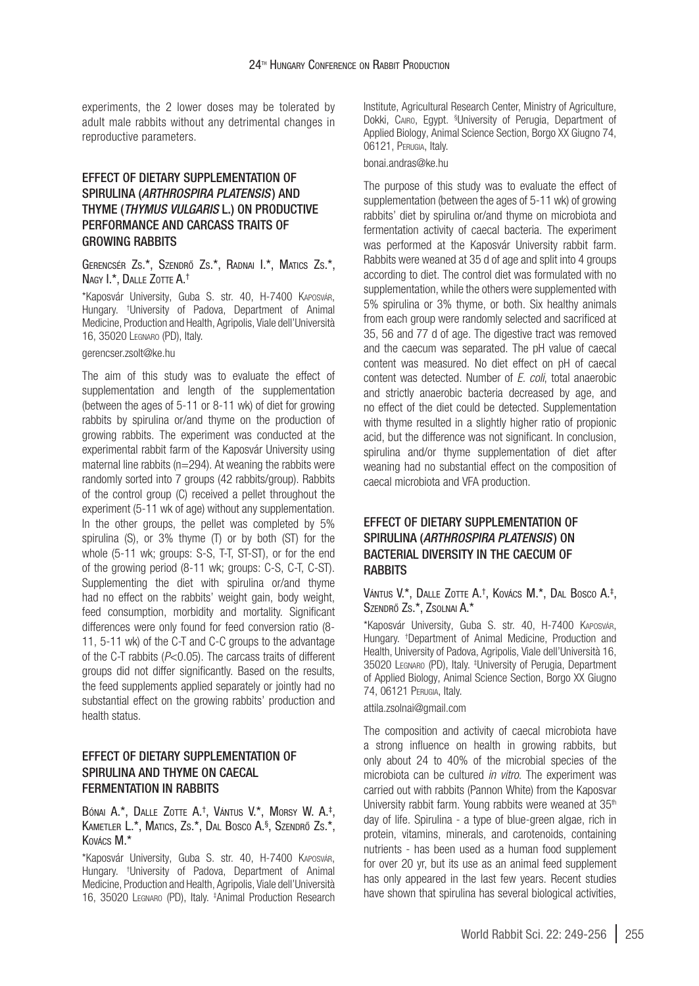experiments, the 2 lower doses may be tolerated by adult male rabbits without any detrimental changes in reproductive parameters.

## Effect of dietary supplementation of Spirulina (*Arthrospira platensis*) and Thyme (*Thymus vulgaris* L.) on productive performance and carcass traits of **GROWING RABBITS**

## Gerencsér Zs.\*, Szendrő Zs.\*, Radnai I.\*, Matics Zs.\*, Nagy I.\*, Dalle Zotte A. †

\*Kaposvár University, Guba S. str. 40, H-7400 Kaposvár, Hungary. † University of Padova, Department of Animal Medicine, Production and Health, Agripolis, Viale dell'Università 16, 35020 Legnaro (PD), Italy.

#### [gerencser.zsolt@ke.hu](mailto:gerencser.zsolt@ke.hu)

The aim of this study was to evaluate the effect of supplementation and length of the supplementation (between the ages of 5-11 or 8-11 wk) of diet for growing rabbits by spirulina or/and thyme on the production of growing rabbits. The experiment was conducted at the experimental rabbit farm of the Kaposvár University using maternal line rabbits (n=294). At weaning the rabbits were randomly sorted into 7 groups (42 rabbits/group). Rabbits of the control group (C) received a pellet throughout the experiment (5-11 wk of age) without any supplementation. In the other groups, the pellet was completed by 5% spirulina (S), or 3% thyme (T) or by both (ST) for the whole (5-11 wk; groups: S-S, T-T, ST-ST), or for the end of the growing period (8-11 wk; groups: C-S, C-T, C-ST). Supplementing the diet with spirulina or/and thyme had no effect on the rabbits' weight gain, body weight, feed consumption, morbidity and mortality. Significant differences were only found for feed conversion ratio (8- 11, 5-11 wk) of the C-T and C-C groups to the advantage of the C-T rabbits (*P*<0.05). The carcass traits of different groups did not differ significantly. Based on the results, the feed supplements applied separately or jointly had no substantial effect on the growing rabbits' production and health status.

## Effect of dietary supplementation of spirulina and thyme on caecal fermentation in rabbits

#### Bónai A.\*, Dalle Zotte A.†, Vántus V.\*, Morsy W. A.‡, Kametler L.\*, Matics, Zs.\*, Dal Bosco A. § , Szendrő Zs.\*, Kovács M.\*

\*Kaposvár University, Guba S. str. 40, H-7400 Kaposvár, Hungary. † University of Padova, Department of Animal Medicine, Production and Health, Agripolis, Viale dell'Università 16, 35020 Legnaro (PD), Italy. ‡ Animal Production Research Institute, Agricultural Research Center, Ministry of Agriculture, Dokki, Cairo, Egypt. <sup>s</sup>University of Perugia, Department of Applied Biology, Animal Science Section, Borgo XX Giugno 74, 06121, Perugia, Italy.

## [bonai.andras@ke.hu](mailto:bonai.andras@ke.hu)

The purpose of this study was to evaluate the effect of supplementation (between the ages of 5-11 wk) of growing rabbits' diet by spirulina or/and thyme on microbiota and fermentation activity of caecal bacteria. The experiment was performed at the Kaposvár University rabbit farm. Rabbits were weaned at 35 d of age and split into 4 groups according to diet. The control diet was formulated with no supplementation, while the others were supplemented with 5% spirulina or 3% thyme, or both. Six healthy animals from each group were randomly selected and sacrificed at 35, 56 and 77 d of age. The digestive tract was removed and the caecum was separated. The pH value of caecal content was measured. No diet effect on pH of caecal content was detected. Number of *E. coli*, total anaerobic and strictly anaerobic bacteria decreased by age, and no effect of the diet could be detected. Supplementation with thyme resulted in a slightly higher ratio of propionic acid, but the difference was not significant. In conclusion, spirulina and/or thyme supplementation of diet after weaning had no substantial effect on the composition of caecal microbiota and VFA production.

# Effect of dietary supplementation of Spirulina (*Arthrospira platensis*) on bacterial diversity in the caecum of **RABBITS**

#### Vántus V.\*, Dalle Zotte A.†, Kovács M.\*, Dal Bosco A.‡, Szendrő Zs.\*, Zsolnai A.\*

\*Kaposvár University, Guba S. str. 40, H-7400 Kaposvár, Hungary. † Department of Animal Medicine, Production and Health, University of Padova, Agripolis, Viale dell'Università 16, 35020 Legnaro (PD), Italy. ‡ University of Perugia, Department of Applied Biology, Animal Science Section, Borgo XX Giugno 74, 06121 Perugia, Italy.

### [attila.zsolnai@gmail.com](mailto:attila.zsolnai@gmail.com)

The composition and activity of caecal microbiota have a strong influence on health in growing rabbits, but only about 24 to 40% of the microbial species of the microbiota can be cultured *in vitro*. The experiment was carried out with rabbits (Pannon White) from the Kaposvar University rabbit farm. Young rabbits were weaned at 35<sup>th</sup> day of life. Spirulina - a type of blue-green algae, rich in protein, vitamins, minerals, and carotenoids, containing nutrients - has been used as a human food supplement for over 20 yr, but its use as an animal feed supplement has only appeared in the last few years. Recent studies have shown that spirulina has several biological activities,